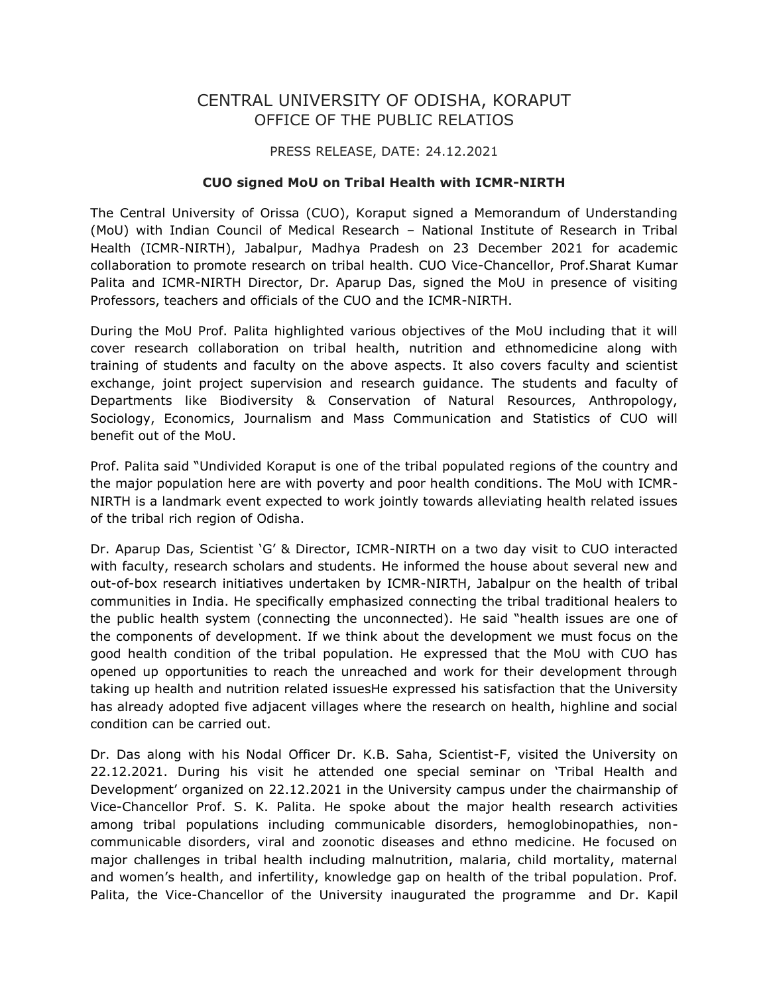## CENTRAL UNIVERSITY OF ODISHA, KORAPUT OFFICE OF THE PUBLIC RELATIOS

## PRESS RELEASE, DATE: 24.12.2021

## **CUO signed MoU on Tribal Health with ICMR-NIRTH**

The Central University of Orissa (CUO), Koraput signed a Memorandum of Understanding (MoU) with Indian Council of Medical Research – National Institute of Research in Tribal Health (ICMR-NIRTH), Jabalpur, Madhya Pradesh on 23 December 2021 for academic collaboration to promote research on tribal health. CUO Vice-Chancellor, Prof.Sharat Kumar Palita and ICMR-NIRTH Director, Dr. Aparup Das, signed the MoU in presence of visiting Professors, teachers and officials of the CUO and the ICMR-NIRTH.

During the MoU Prof. Palita highlighted various objectives of the MoU including that it will cover research collaboration on tribal health, nutrition and ethnomedicine along with training of students and faculty on the above aspects. It also covers faculty and scientist exchange, joint project supervision and research guidance. The students and faculty of Departments like Biodiversity & Conservation of Natural Resources, Anthropology, Sociology, Economics, Journalism and Mass Communication and Statistics of CUO will benefit out of the MoU.

Prof. Palita said "Undivided Koraput is one of the tribal populated regions of the country and the major population here are with poverty and poor health conditions. The MoU with ICMR-NIRTH is a landmark event expected to work jointly towards alleviating health related issues of the tribal rich region of Odisha.

Dr. Aparup Das, Scientist 'G' & Director, ICMR-NIRTH on a two day visit to CUO interacted with faculty, research scholars and students. He informed the house about several new and out-of-box research initiatives undertaken by ICMR-NIRTH, Jabalpur on the health of tribal communities in India. He specifically emphasized connecting the tribal traditional healers to the public health system (connecting the unconnected). He said "health issues are one of the components of development. If we think about the development we must focus on the good health condition of the tribal population. He expressed that the MoU with CUO has opened up opportunities to reach the unreached and work for their development through taking up health and nutrition related issuesHe expressed his satisfaction that the University has already adopted five adjacent villages where the research on health, highline and social condition can be carried out.

Dr. Das along with his Nodal Officer Dr. K.B. Saha, Scientist-F, visited the University on 22.12.2021. During his visit he attended one special seminar on 'Tribal Health and Development' organized on 22.12.2021 in the University campus under the chairmanship of Vice-Chancellor Prof. S. K. Palita. He spoke about the major health research activities among tribal populations including communicable disorders, hemoglobinopathies, noncommunicable disorders, viral and zoonotic diseases and ethno medicine. He focused on major challenges in tribal health including malnutrition, malaria, child mortality, maternal and women's health, and infertility, knowledge gap on health of the tribal population. Prof. Palita, the Vice-Chancellor of the University inaugurated the programme and Dr. Kapil